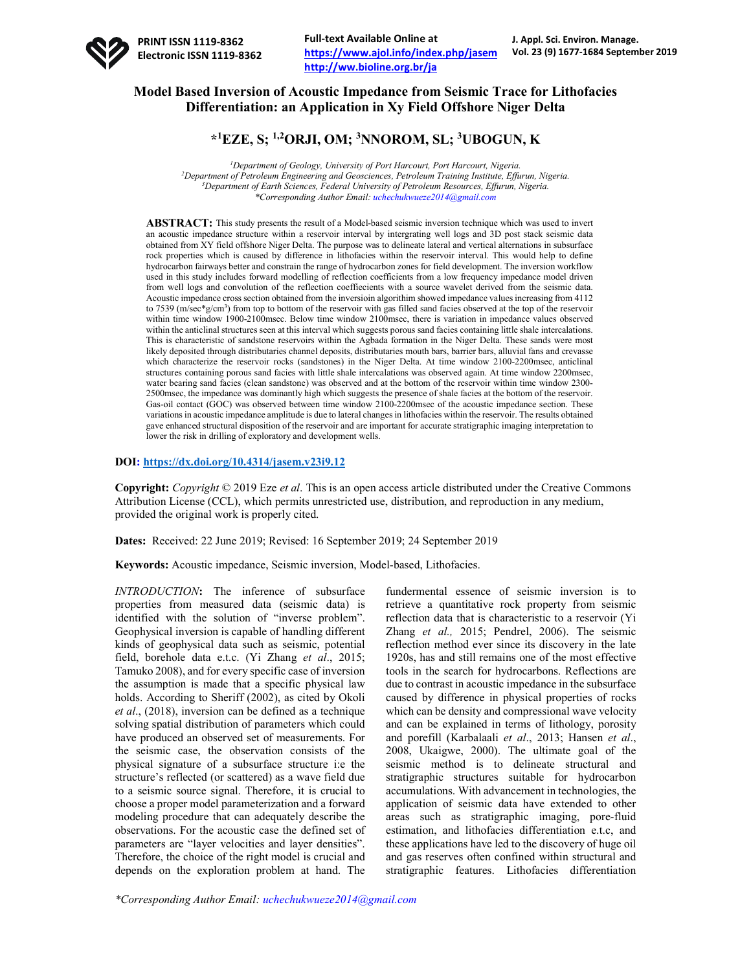

## **Model Based Inversion of Acoustic Impedance from Seismic Trace for Lithofacies Differentiation: an Application in Xy Field Offshore Niger Delta**

# **\*1 EZE, S; 1,2ORJI, OM; <sup>3</sup> NNOROM, SL; <sup>3</sup> UBOGUN, K**

 *Department of Geology, University of Port Harcourt, Port Harcourt, Nigeria. Department of Petroleum Engineering and Geosciences, Petroleum Training Institute, Effurun, Nigeria. Department of Earth Sciences, Federal University of Petroleum Resources, Effurun, Nigeria. \*Corresponding Author Email: uchechukwueze2014@gmail.com*

**ABSTRACT:** This study presents the result of a Model-based seismic inversion technique which was used to invert an acoustic impedance structure within a reservoir interval by intergrating well logs and 3D post stack seismic data obtained from XY field offshore Niger Delta. The purpose was to delineate lateral and vertical alternations in subsurface rock properties which is caused by difference in lithofacies within the reservoir interval. This would help to define hydrocarbon fairways better and constrain the range of hydrocarbon zones for field development. The inversion workflow used in this study includes forward modelling of reflection coefficients from a low frequency impedance model driven from well logs and convolution of the reflection coeffiecients with a source wavelet derived from the seismic data. Acoustic impedance cross section obtained from the inversioin algorithim showed impedance values increasing from 4112 to 7539 (m/sec\*g/cm<sup>3</sup>) from top to bottom of the reservoir with gas filled sand facies observed at the top of the reservoir within time window 1900-2100msec. Below time window 2100msec, there is variation in impedance values observed within the anticlinal structures seen at this interval which suggests porous sand facies containing little shale intercalations. This is characteristic of sandstone reservoirs within the Agbada formation in the Niger Delta. These sands were most likely deposited through distributaries channel deposits, distributaries mouth bars, barrier bars, alluvial fans and crevasse which characterize the reservoir rocks (sandstones) in the Niger Delta. At time window 2100-2200msec, anticlinal structures containing porous sand facies with little shale intercalations was observed again. At time window 2200msec, water bearing sand facies (clean sandstone) was observed and at the bottom of the reservoir within time window 2300- 2500msec, the impedance was dominantly high which suggests the presence of shale facies at the bottom of the reservoir. Gas-oil contact (GOC) was observed between time window 2100-2200msec of the acoustic impedance section. These variations in acoustic impedance amplitude is due to lateral changes in lithofacies within the reservoir. The results obtained gave enhanced structural disposition of the reservoir and are important for accurate stratigraphic imaging interpretation to lower the risk in drilling of exploratory and development wells.

#### **DOI: https://dx.doi.org/10.4314/jasem.v23i9.12**

**Copyright:** *Copyright* © 2019 Eze *et al*. This is an open access article distributed under the Creative Commons Attribution License (CCL), which permits unrestricted use, distribution, and reproduction in any medium, provided the original work is properly cited.

**Dates:** Received: 22 June 2019; Revised: 16 September 2019; 24 September 2019

**Keywords:** Acoustic impedance, Seismic inversion, Model-based, Lithofacies.

*INTRODUCTION***:** The inference of subsurface properties from measured data (seismic data) is identified with the solution of "inverse problem". Geophysical inversion is capable of handling different kinds of geophysical data such as seismic, potential field, borehole data e.t.c. (Yi Zhang *et al*., 2015; Tamuko 2008), and for every specific case of inversion the assumption is made that a specific physical law holds. According to Sheriff (2002), as cited by Okoli *et al*., (2018), inversion can be defined as a technique solving spatial distribution of parameters which could have produced an observed set of measurements. For the seismic case, the observation consists of the physical signature of a subsurface structure i:e the structure's reflected (or scattered) as a wave field due to a seismic source signal. Therefore, it is crucial to choose a proper model parameterization and a forward modeling procedure that can adequately describe the observations. For the acoustic case the defined set of parameters are "layer velocities and layer densities". Therefore, the choice of the right model is crucial and depends on the exploration problem at hand. The

fundermental essence of seismic inversion is to retrieve a quantitative rock property from seismic reflection data that is characteristic to a reservoir (Yi Zhang *et al.,* 2015; Pendrel, 2006). The seismic reflection method ever since its discovery in the late 1920s, has and still remains one of the most effective tools in the search for hydrocarbons. Reflections are due to contrast in acoustic impedance in the subsurface caused by difference in physical properties of rocks which can be density and compressional wave velocity and can be explained in terms of lithology, porosity and porefill (Karbalaali *et al*., 2013; Hansen *et al*., 2008, Ukaigwe, 2000). The ultimate goal of the seismic method is to delineate structural and stratigraphic structures suitable for hydrocarbon accumulations. With advancement in technologies, the application of seismic data have extended to other areas such as stratigraphic imaging, pore-fluid estimation, and lithofacies differentiation e.t.c, and these applications have led to the discovery of huge oil and gas reserves often confined within structural and stratigraphic features. Lithofacies differentiation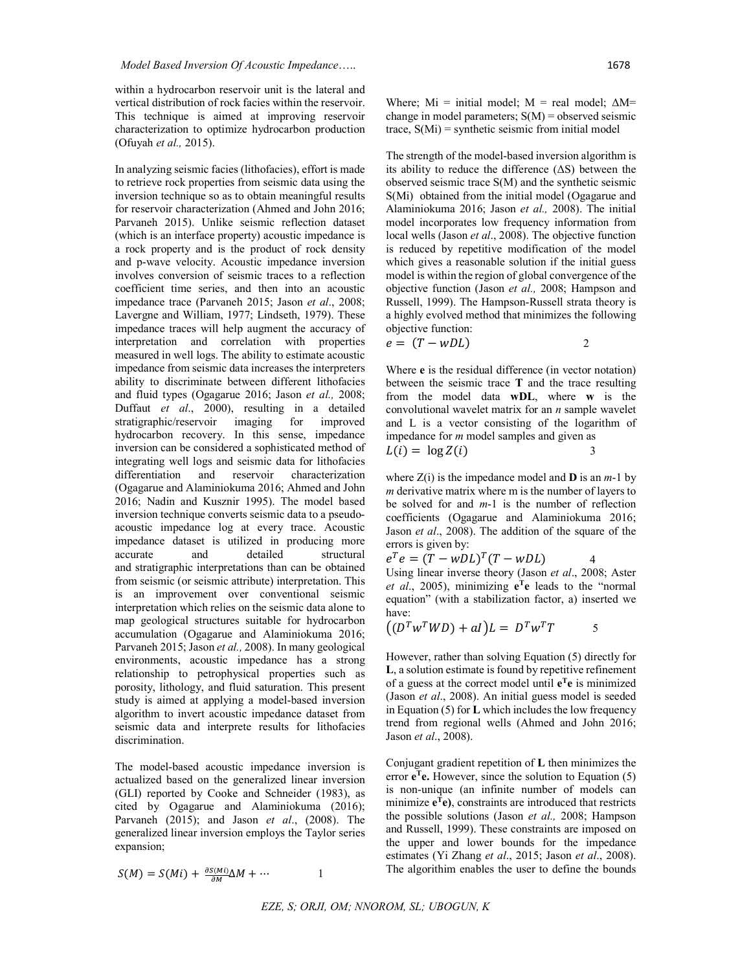within a hydrocarbon reservoir unit is the lateral and vertical distribution of rock facies within the reservoir. This technique is aimed at improving reservoir characterization to optimize hydrocarbon production (Ofuyah *et al.,* 2015).

In analyzing seismic facies (lithofacies), effort is made to retrieve rock properties from seismic data using the inversion technique so as to obtain meaningful results for reservoir characterization (Ahmed and John 2016; Parvaneh 2015). Unlike seismic reflection dataset (which is an interface property) acoustic impedance is a rock property and is the product of rock density and p-wave velocity. Acoustic impedance inversion involves conversion of seismic traces to a reflection coefficient time series, and then into an acoustic impedance trace (Parvaneh 2015; Jason *et al*., 2008; Lavergne and William, 1977; Lindseth, 1979). These impedance traces will help augment the accuracy of interpretation and correlation with properties measured in well logs. The ability to estimate acoustic impedance from seismic data increases the interpreters ability to discriminate between different lithofacies and fluid types (Ogagarue 2016; Jason *et al.,* 2008; Duffaut *et al*., 2000), resulting in a detailed stratigraphic/reservoir imaging for improved hydrocarbon recovery. In this sense, impedance inversion can be considered a sophisticated method of integrating well logs and seismic data for lithofacies differentiation and reservoir characterization (Ogagarue and Alaminiokuma 2016; Ahmed and John 2016; Nadin and Kusznir 1995). The model based inversion technique converts seismic data to a pseudoacoustic impedance log at every trace. Acoustic impedance dataset is utilized in producing more and detailed structural and stratigraphic interpretations than can be obtained from seismic (or seismic attribute) interpretation. This is an improvement over conventional seismic interpretation which relies on the seismic data alone to map geological structures suitable for hydrocarbon accumulation (Ogagarue and Alaminiokuma 2016; Parvaneh 2015; Jason *et al.,* 2008). In many geological environments, acoustic impedance has a strong relationship to petrophysical properties such as porosity, lithology, and fluid saturation. This present study is aimed at applying a model-based inversion algorithm to invert acoustic impedance dataset from seismic data and interprete results for lithofacies discrimination.

The model-based acoustic impedance inversion is actualized based on the generalized linear inversion (GLI) reported by Cooke and Schneider (1983), as cited by Ogagarue and Alaminiokuma (2016); Parvaneh (2015); and Jason *et al*., (2008). The generalized linear inversion employs the Taylor series expansion;

$$
S(M) = S(Mi) + \frac{\partial S(Mi)}{\partial M} \Delta M + \cdots
$$

Where;  $Mi = initial model$ ;  $M = real model$ ;  $\Delta M =$ change in model parameters;  $S(M)$  = observed seismic trace,  $S(Mi)$  = synthetic seismic from initial model

The strength of the model-based inversion algorithm is its ability to reduce the difference  $( \Delta S)$  between the observed seismic trace S(M) and the synthetic seismic S(Mi) obtained from the initial model (Ogagarue and Alaminiokuma 2016; Jason *et al.,* 2008). The initial model incorporates low frequency information from local wells (Jason *et al*., 2008). The objective function is reduced by repetitive modification of the model which gives a reasonable solution if the initial guess model is within the region of global convergence of the objective function (Jason *et al.,* 2008; Hampson and Russell, 1999). The Hampson-Russell strata theory is a highly evolved method that minimizes the following objective function:

$$
e = (T - wDL) \t\t 2
$$

Where **e** is the residual difference (in vector notation) between the seismic trace **T** and the trace resulting from the model data **wDL**, where **w** is the convolutional wavelet matrix for an *n* sample wavelet and L is a vector consisting of the logarithm of impedance for *m* model samples and given as

$$
L(i) = \log Z(i) \tag{3}
$$

where  $Z(i)$  is the impedance model and **D** is an  $m-1$  by *m* derivative matrix where m is the number of layers to be solved for and *m*-1 is the number of reflection coefficients (Ogagarue and Alaminiokuma 2016; Jason *et al*., 2008). The addition of the square of the errors is given by:

$$
e^T e = (T - wDL)^T (T - wDL) \tag{4}
$$

Using linear inverse theory (Jason *et al*., 2008; Aster *et al.*, 2005), minimizing  $e^{\text{T}}e$  leads to the "normal" equation" (with a stabilization factor, a) inserted we have:

$$
((D^T w^T W D) + aI)L = D^T w^T T
$$
 5

However, rather than solving Equation (5) directly for **L**, a solution estimate is found by repetitive refinement of a guess at the correct model until **eTe** is minimized (Jason *et al*., 2008). An initial guess model is seeded in Equation (5) for **L** which includes the low frequency trend from regional wells (Ahmed and John 2016; Jason *et al*., 2008).

Conjugant gradient repetition of **L** then minimizes the error  $e^{\mathsf{T}}e$ . However, since the solution to Equation (5) is non-unique (an infinite number of models can minimize  $e^{\mathrm{T}}e$ ), constraints are introduced that restricts the possible solutions (Jason *et al.,* 2008; Hampson and Russell, 1999). These constraints are imposed on the upper and lower bounds for the impedance estimates (Yi Zhang *et al*., 2015; Jason *et al*., 2008). The algorithim enables the user to define the bounds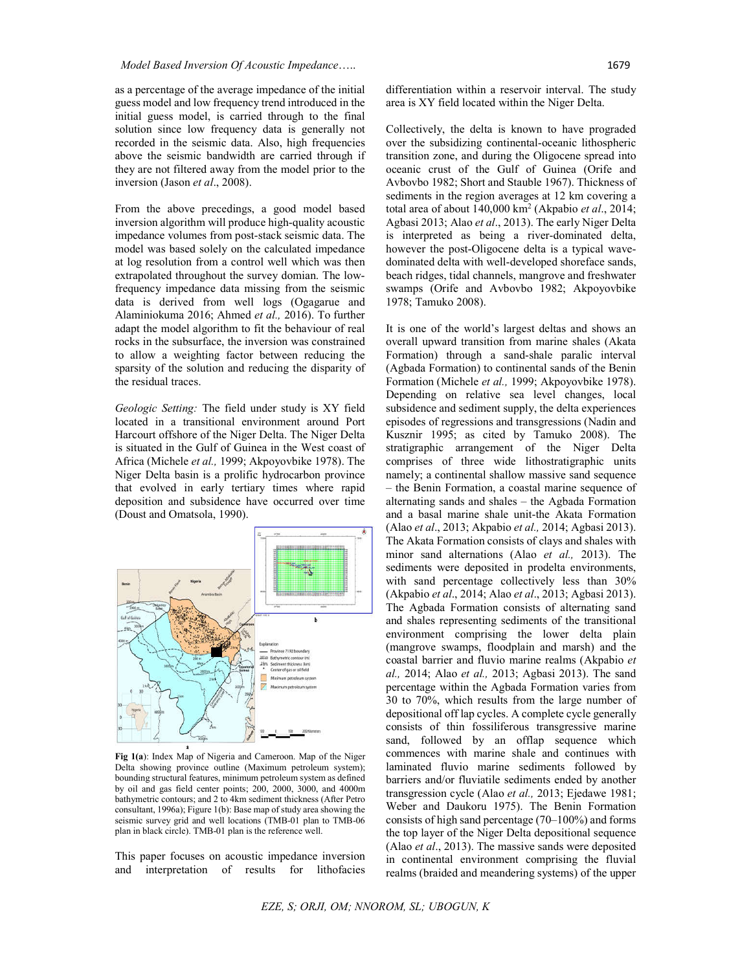as a percentage of the average impedance of the initial guess model and low frequency trend introduced in the initial guess model, is carried through to the final solution since low frequency data is generally not recorded in the seismic data. Also, high frequencies above the seismic bandwidth are carried through if they are not filtered away from the model prior to the inversion (Jason *et al*., 2008).

From the above precedings, a good model based inversion algorithm will produce high-quality acoustic impedance volumes from post-stack seismic data. The model was based solely on the calculated impedance at log resolution from a control well which was then extrapolated throughout the survey domian. The lowfrequency impedance data missing from the seismic data is derived from well logs (Ogagarue and Alaminiokuma 2016; Ahmed *et al.,* 2016). To further adapt the model algorithm to fit the behaviour of real rocks in the subsurface, the inversion was constrained to allow a weighting factor between reducing the sparsity of the solution and reducing the disparity of the residual traces.

*Geologic Setting:* The field under study is XY field located in a transitional environment around Port Harcourt offshore of the Niger Delta. The Niger Delta is situated in the Gulf of Guinea in the West coast of Africa (Michele *et al.,* 1999; Akpoyovbike 1978). The Niger Delta basin is a prolific hydrocarbon province that evolved in early tertiary times where rapid deposition and subsidence have occurred over time (Doust and Omatsola, 1990).



**Fig 1(a**): Index Map of Nigeria and Cameroon. Map of the Niger Delta showing province outline (Maximum petroleum system); bounding structural features, minimum petroleum system as defined by oil and gas field center points; 200, 2000, 3000, and 4000m bathymetric contours; and 2 to 4km sediment thickness (After Petro consultant, 1996a); Figure 1(b): Base map of study area showing the seismic survey grid and well locations (TMB-01 plan to TMB-06 plan in black circle). TMB-01 plan is the reference well.

This paper focuses on acoustic impedance inversion and interpretation of results for lithofacies

differentiation within a reservoir interval. The study area is XY field located within the Niger Delta.

Collectively, the delta is known to have prograded over the subsidizing continental-oceanic lithospheric transition zone, and during the Oligocene spread into oceanic crust of the Gulf of Guinea (Orife and Avbovbo 1982; Short and Stauble 1967). Thickness of sediments in the region averages at 12 km covering a total area of about 140,000 km2 (Akpabio *et al*., 2014; Agbasi 2013; Alao *et al*., 2013). The early Niger Delta is interpreted as being a river-dominated delta, however the post-Oligocene delta is a typical wavedominated delta with well-developed shoreface sands, beach ridges, tidal channels, mangrove and freshwater swamps (Orife and Avbovbo 1982; Akpoyovbike 1978; Tamuko 2008).

It is one of the world's largest deltas and shows an overall upward transition from marine shales (Akata Formation) through a sand-shale paralic interval (Agbada Formation) to continental sands of the Benin Formation (Michele *et al.,* 1999; Akpoyovbike 1978). Depending on relative sea level changes, local subsidence and sediment supply, the delta experiences episodes of regressions and transgressions (Nadin and Kusznir 1995; as cited by Tamuko 2008). The stratigraphic arrangement of the Niger Delta comprises of three wide lithostratigraphic units namely; a continental shallow massive sand sequence – the Benin Formation, a coastal marine sequence of alternating sands and shales – the Agbada Formation and a basal marine shale unit-the Akata Formation (Alao *et al*., 2013; Akpabio *et al.,* 2014; Agbasi 2013). The Akata Formation consists of clays and shales with minor sand alternations (Alao *et al.,* 2013). The sediments were deposited in prodelta environments, with sand percentage collectively less than 30% (Akpabio *et al*., 2014; Alao *et al*., 2013; Agbasi 2013). The Agbada Formation consists of alternating sand and shales representing sediments of the transitional environment comprising the lower delta plain (mangrove swamps, floodplain and marsh) and the coastal barrier and fluvio marine realms (Akpabio *et al.,* 2014; Alao *et al.,* 2013; Agbasi 2013). The sand percentage within the Agbada Formation varies from 30 to 70%, which results from the large number of depositional off lap cycles. A complete cycle generally consists of thin fossiliferous transgressive marine sand, followed by an offlap sequence which commences with marine shale and continues with laminated fluvio marine sediments followed by barriers and/or fluviatile sediments ended by another transgression cycle (Alao *et al.,* 2013; Ejedawe 1981; Weber and Daukoru 1975). The Benin Formation consists of high sand percentage (70–100%) and forms the top layer of the Niger Delta depositional sequence (Alao *et al*., 2013). The massive sands were deposited in continental environment comprising the fluvial realms (braided and meandering systems) of the upper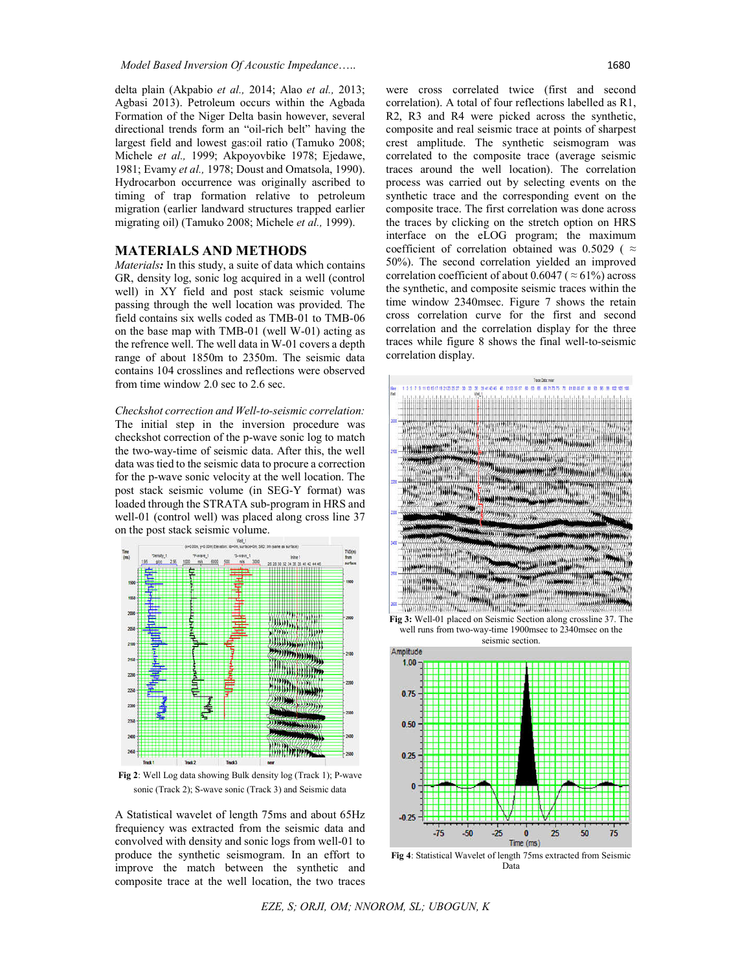delta plain (Akpabio *et al.,* 2014; Alao *et al.,* 2013; Agbasi 2013). Petroleum occurs within the Agbada Formation of the Niger Delta basin however, several directional trends form an "oil-rich belt" having the largest field and lowest gas:oil ratio (Tamuko 2008; Michele *et al.,* 1999; Akpoyovbike 1978; Ejedawe, 1981; Evamy *et al.,* 1978; Doust and Omatsola, 1990). Hydrocarbon occurrence was originally ascribed to timing of trap formation relative to petroleum migration (earlier landward structures trapped earlier migrating oil) (Tamuko 2008; Michele *et al.,* 1999).

#### **MATERIALS AND METHODS**

*Materials:* In this study, a suite of data which contains GR, density log, sonic log acquired in a well (control well) in XY field and post stack seismic volume passing through the well location was provided. The field contains six wells coded as TMB-01 to TMB-06 on the base map with TMB-01 (well W-01) acting as the refrence well. The well data in W-01 covers a depth range of about 1850m to 2350m. The seismic data contains 104 crosslines and reflections were observed from time window 2.0 sec to 2.6 sec.

*Checkshot correction and Well-to-seismic correlation:* The initial step in the inversion procedure was checkshot correction of the p-wave sonic log to match the two-way-time of seismic data. After this, the well data was tied to the seismic data to procure a correction for the p-wave sonic velocity at the well location. The post stack seismic volume (in SEG-Y format) was loaded through the STRATA sub-program in HRS and well-01 (control well) was placed along cross line 37 on the post stack seismic volume.



**Fig 2**: Well Log data showing Bulk density log (Track 1); P-wave sonic (Track 2); S-wave sonic (Track 3) and Seismic data

A Statistical wavelet of length 75ms and about 65Hz frequiency was extracted from the seismic data and convolved with density and sonic logs from well-01 to produce the synthetic seismogram. In an effort to improve the match between the synthetic and composite trace at the well location, the two traces were cross correlated twice (first and second correlation). A total of four reflections labelled as R1, R2, R3 and R4 were picked across the synthetic, composite and real seismic trace at points of sharpest crest amplitude. The synthetic seismogram was correlated to the composite trace (average seismic traces around the well location). The correlation process was carried out by selecting events on the synthetic trace and the corresponding event on the composite trace. The first correlation was done across the traces by clicking on the stretch option on HRS interface on the eLOG program; the maximum coefficient of correlation obtained was 0.5029 ( $\approx$ 50%). The second correlation yielded an improved correlation coefficient of about 0.6047 ( $\approx$  61%) across the synthetic, and composite seismic traces within the time window 2340msec. Figure 7 shows the retain cross correlation curve for the first and second correlation and the correlation display for the three traces while figure 8 shows the final well-to-seismic correlation display.



well runs from two-way-time 1900msec to 2340msec on the seismic section.



Data

*EZE, S; ORJI, OM; NNOROM, SL; UBOGUN, K*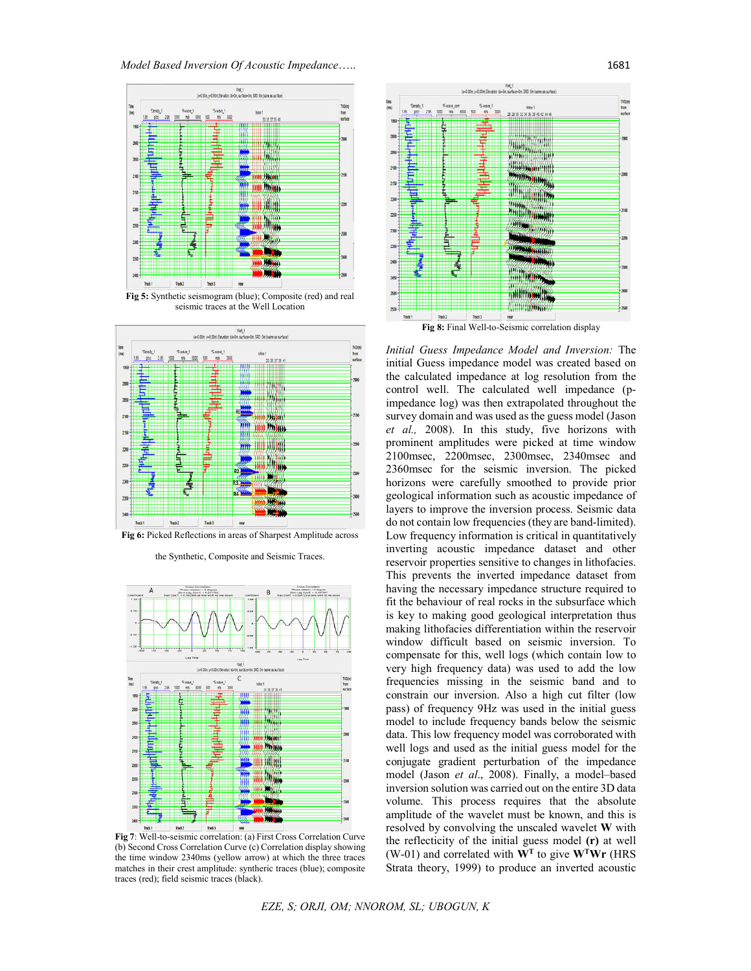*Model Based Inversion Of Acoustic Impedance*….. 1681



**Fig 5:** Synthetic seismogram (blue); Composite (red) and real seismic traces at the Well Location



**Fig 6:** Picked Reflections in areas of Sharpest Amplitude across

the Synthetic, Composite and Seismic Traces.



**Fig 7**: Well-to-seismic correlation: (a) First Cross Correlation Curve (b) Second Cross Correlation Curve (c) Correlation display showing the time window 2340ms (yellow arrow) at which the three traces matches in their crest amplitude: syntheric traces (blue); composite traces (red); field seismic traces (black).



*Initial Guess Impedance Model and Inversion:* The initial Guess impedance model was created based on the calculated impedance at log resolution from the control well. The calculated well impedance (pimpedance log) was then extrapolated throughout the survey domain and was used as the guess model (Jason *et al.,* 2008). In this study, five horizons with prominent amplitudes were picked at time window 2100msec, 2200msec, 2300msec, 2340msec and 2360msec for the seismic inversion. The picked horizons were carefully smoothed to provide prior geological information such as acoustic impedance of layers to improve the inversion process. Seismic data do not contain low frequencies (they are band-limited). Low frequency information is critical in quantitatively inverting acoustic impedance dataset and other reservoir properties sensitive to changes in lithofacies. This prevents the inverted impedance dataset from having the necessary impedance structure required to fit the behaviour of real rocks in the subsurface which is key to making good geological interpretation thus making lithofacies differentiation within the reservoir window difficult based on seismic inversion. To compensate for this, well logs (which contain low to very high frequency data) was used to add the low frequencies missing in the seismic band and to constrain our inversion. Also a high cut filter (low pass) of frequency 9Hz was used in the initial guess model to include frequency bands below the seismic data. This low frequency model was corroborated with well logs and used as the initial guess model for the conjugate gradient perturbation of the impedance model (Jason *et al*., 2008). Finally, a model–based inversion solution was carried out on the entire 3D data volume. This process requires that the absolute amplitude of the wavelet must be known, and this is resolved by convolving the unscaled wavelet **W** with the reflecticity of the initial guess model **(r)** at well (W-01) and correlated with **WT** to give **WTWr** (HRS Strata theory, 1999) to produce an inverted acoustic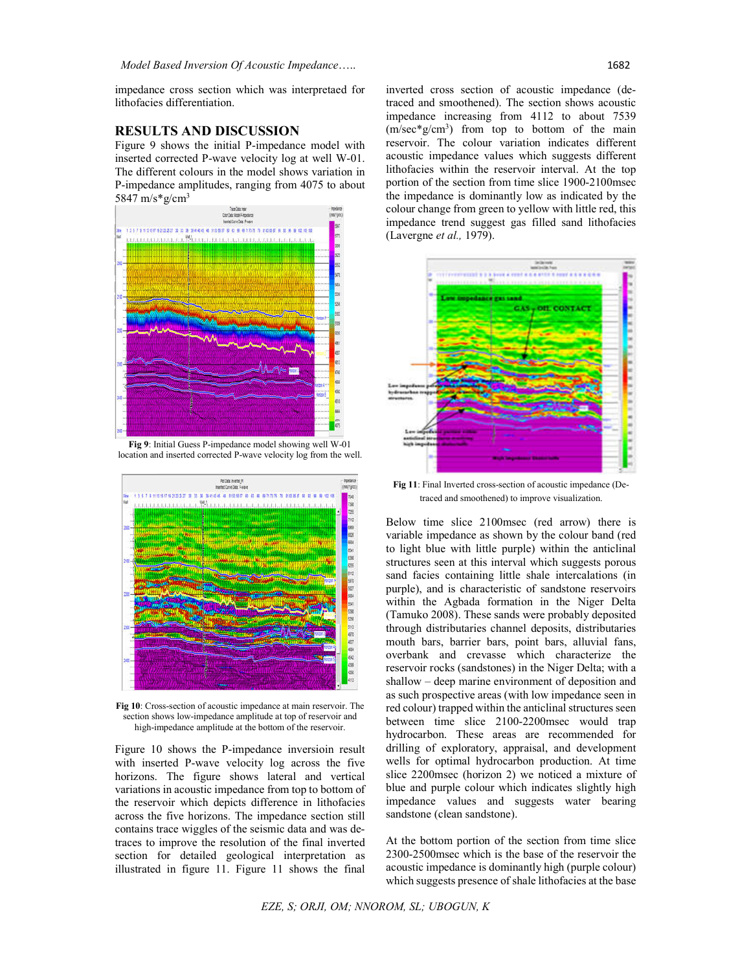impedance cross section which was interpretaed for lithofacies differentiation.

## **RESULTS AND DISCUSSION**

Figure 9 shows the initial P-impedance model with inserted corrected P-wave velocity log at well W-01. The different colours in the model shows variation in P-impedance amplitudes, ranging from 4075 to about 5847 m/s\*g/cm3



**Fig 9**: Initial Guess P-impedance model showing well W-01 location and inserted corrected P-wave velocity log from the well.



**Fig 10**: Cross-section of acoustic impedance at main reservoir. The section shows low-impedance amplitude at top of reservoir and high-impedance amplitude at the bottom of the reservoir.

Figure 10 shows the P-impedance inversioin result with inserted P-wave velocity log across the five horizons. The figure shows lateral and vertical variations in acoustic impedance from top to bottom of the reservoir which depicts difference in lithofacies across the five horizons. The impedance section still contains trace wiggles of the seismic data and was detraces to improve the resolution of the final inverted section for detailed geological interpretation as illustrated in figure 11. Figure 11 shows the final

inverted cross section of acoustic impedance (detraced and smoothened). The section shows acoustic impedance increasing from 4112 to about 7539  $(m/sec*g/cm<sup>3</sup>)$  from top to bottom of the main reservoir. The colour variation indicates different acoustic impedance values which suggests different lithofacies within the reservoir interval. At the top portion of the section from time slice 1900-2100msec the impedance is dominantly low as indicated by the colour change from green to yellow with little red, this impedance trend suggest gas filled sand lithofacies (Lavergne *et al.,* 1979).



**Fig 11**: Final Inverted cross-section of acoustic impedance (Detraced and smoothened) to improve visualization.

Below time slice 2100msec (red arrow) there is variable impedance as shown by the colour band (red to light blue with little purple) within the anticlinal structures seen at this interval which suggests porous sand facies containing little shale intercalations (in purple), and is characteristic of sandstone reservoirs within the Agbada formation in the Niger Delta (Tamuko 2008). These sands were probably deposited through distributaries channel deposits, distributaries mouth bars, barrier bars, point bars, alluvial fans, overbank and crevasse which characterize the reservoir rocks (sandstones) in the Niger Delta; with a shallow – deep marine environment of deposition and as such prospective areas (with low impedance seen in red colour) trapped within the anticlinal structures seen between time slice 2100-2200msec would trap hydrocarbon. These areas are recommended for drilling of exploratory, appraisal, and development wells for optimal hydrocarbon production. At time slice 2200msec (horizon 2) we noticed a mixture of blue and purple colour which indicates slightly high impedance values and suggests water bearing sandstone (clean sandstone).

At the bottom portion of the section from time slice 2300-2500msec which is the base of the reservoir the acoustic impedance is dominantly high (purple colour) which suggests presence of shale lithofacies at the base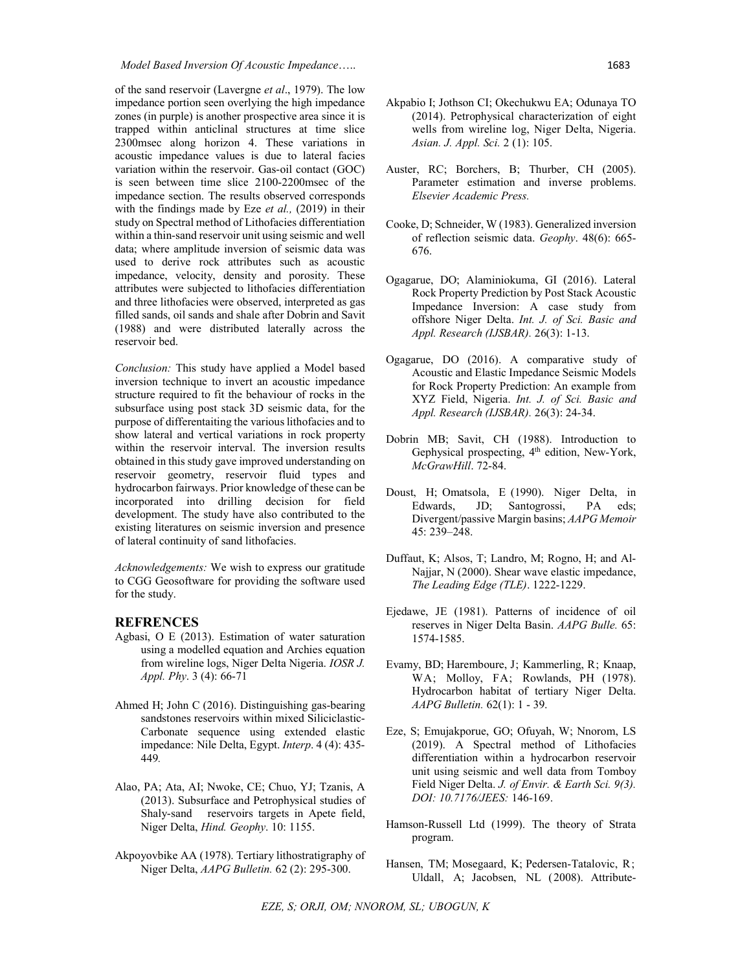of the sand reservoir (Lavergne *et al*., 1979). The low impedance portion seen overlying the high impedance zones (in purple) is another prospective area since it is trapped within anticlinal structures at time slice 2300msec along horizon 4. These variations in acoustic impedance values is due to lateral facies variation within the reservoir. Gas-oil contact (GOC) is seen between time slice 2100-2200msec of the impedance section. The results observed corresponds with the findings made by Eze *et al.,* (2019) in their study on Spectral method of Lithofacies differentiation within a thin-sand reservoir unit using seismic and well data; where amplitude inversion of seismic data was used to derive rock attributes such as acoustic impedance, velocity, density and porosity. These attributes were subjected to lithofacies differentiation and three lithofacies were observed, interpreted as gas filled sands, oil sands and shale after Dobrin and Savit (1988) and were distributed laterally across the reservoir bed.

*Conclusion:* This study have applied a Model based inversion technique to invert an acoustic impedance structure required to fit the behaviour of rocks in the subsurface using post stack 3D seismic data, for the purpose of differentaiting the various lithofacies and to show lateral and vertical variations in rock property within the reservoir interval. The inversion results obtained in this study gave improved understanding on reservoir geometry, reservoir fluid types and hydrocarbon fairways. Prior knowledge of these can be incorporated into drilling decision for field development. The study have also contributed to the existing literatures on seismic inversion and presence of lateral continuity of sand lithofacies.

*Acknowledgements:* We wish to express our gratitude to CGG Geosoftware for providing the software used for the study.

## **REFRENCES**

- Agbasi, O E (2013). Estimation of water saturation using a modelled equation and Archies equation from wireline logs, Niger Delta Nigeria. *IOSR J. Appl. Phy*. 3 (4): 66-71
- Ahmed H; John C (2016). Distinguishing gas-bearing sandstones reservoirs within mixed Siliciclastic-Carbonate sequence using extended elastic impedance: Nile Delta, Egypt. *Interp*. 4 (4): 435- 449*.*
- Alao, PA; Ata, AI; Nwoke, CE; Chuo, YJ; Tzanis, A (2013). Subsurface and Petrophysical studies of Shaly-sand reservoirs targets in Apete field, Niger Delta, *Hind. Geophy*. 10: 1155.
- Akpoyovbike AA (1978). Tertiary lithostratigraphy of Niger Delta, *AAPG Bulletin.* 62 (2): 295-300.
- Auster, RC; Borchers, B; Thurber, CH (2005). Parameter estimation and inverse problems. *Elsevier Academic Press.*
- Cooke, D; Schneider, W (1983). Generalized inversion of reflection seismic data. *Geophy*. 48(6): 665- 676.
- Ogagarue, DO; Alaminiokuma, GI (2016). Lateral Rock Property Prediction by Post Stack Acoustic Impedance Inversion: A case study from offshore Niger Delta. *Int. J. of Sci. Basic and Appl. Research (IJSBAR).* 26(3): 1-13.
- Ogagarue, DO (2016). A comparative study of Acoustic and Elastic Impedance Seismic Models for Rock Property Prediction: An example from XYZ Field, Nigeria. *Int. J. of Sci. Basic and Appl. Research (IJSBAR).* 26(3): 24-34.
- Dobrin MB; Savit, CH (1988). Introduction to Gephysical prospecting, 4<sup>th</sup> edition, New-York, *McGrawHill*. 72-84.
- Doust, H; Omatsola, E (1990). Niger Delta, in Edwards, JD; Santogrossi, PA eds; Divergent/passive Margin basins; *AAPG Memoir* 45: 239–248.
- Duffaut, K; Alsos, T; Landro, M; Rogno, H; and Al-Najjar, N (2000). Shear wave elastic impedance, *The Leading Edge (TLE)*. 1222-1229.
- Ejedawe, JE (1981). Patterns of incidence of oil reserves in Niger Delta Basin. *AAPG Bulle.* 65: 1574-1585.
- Evamy, BD; Haremboure, J; Kammerling, R; Knaap, WA; Molloy, FA; Rowlands, PH (1978). Hydrocarbon habitat of tertiary Niger Delta. *AAPG Bulletin.* 62(1): 1 - 39.
- Eze, S; Emujakporue, GO; Ofuyah, W; Nnorom, LS (2019). A Spectral method of Lithofacies differentiation within a hydrocarbon reservoir unit using seismic and well data from Tomboy Field Niger Delta. *J. of Envir. & Earth Sci. 9(3). DOI: 10.7176/JEES:* 146-169.
- Hamson-Russell Ltd (1999). The theory of Strata program.
- Hansen, TM; Mosegaard, K; Pedersen-Tatalovic, R; Uldall, A; Jacobsen, NL (2008). Attribute-

*EZE, S; ORJI, OM; NNOROM, SL; UBOGUN, K*